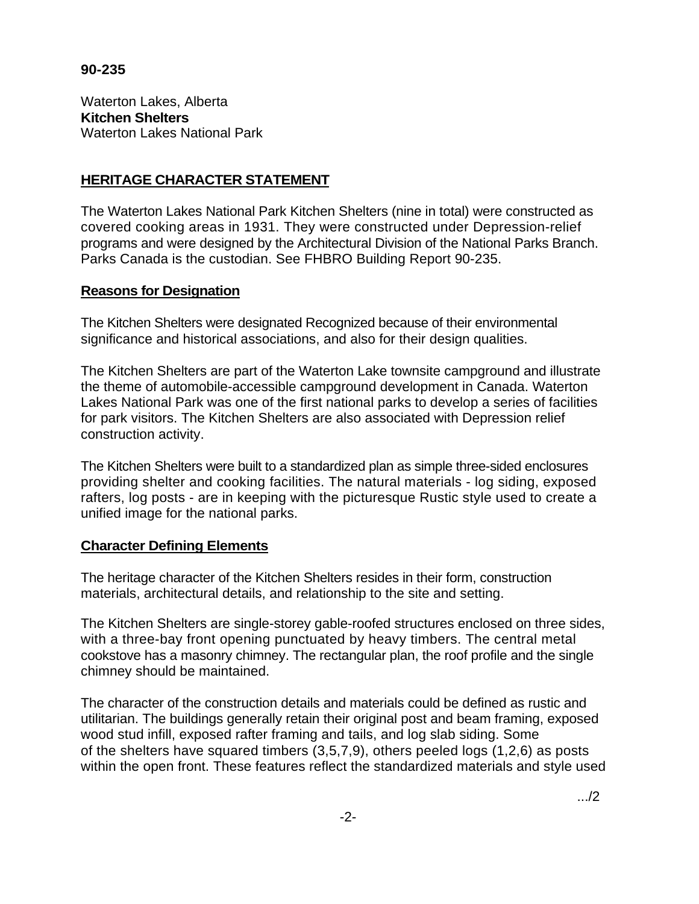#### **90-235**

Waterton Lakes, Alberta **Kitchen Shelters**  Waterton Lakes National Park

# **HERITAGE CHARACTER STATEMENT**

The Waterton Lakes National Park Kitchen Shelters (nine in total) were constructed as covered cooking areas in 1931. They were constructed under Depression-relief programs and were designed by the Architectural Division of the National Parks Branch. Parks Canada is the custodian. See FHBRO Building Report 90-235.

## **Reasons for Designation**

The Kitchen Shelters were designated Recognized because of their environmental significance and historical associations, and also for their design qualities.

The Kitchen Shelters are part of the Waterton Lake townsite campground and illustrate the theme of automobile-accessible campground development in Canada. Waterton Lakes National Park was one of the first national parks to develop a series of facilities for park visitors. The Kitchen Shelters are also associated with Depression relief construction activity.

The Kitchen Shelters were built to a standardized plan as simple three-sided enclosures providing shelter and cooking facilities. The natural materials - log siding, exposed rafters, log posts - are in keeping with the picturesque Rustic style used to create a unified image for the national parks.

## **Character Defining Elements**

The heritage character of the Kitchen Shelters resides in their form, construction materials, architectural details, and relationship to the site and setting.

The Kitchen Shelters are single-storey gable-roofed structures enclosed on three sides, with a three-bay front opening punctuated by heavy timbers. The central metal cookstove has a masonry chimney. The rectangular plan, the roof profile and the single chimney should be maintained.

The character of the construction details and materials could be defined as rustic and utilitarian. The buildings generally retain their original post and beam framing, exposed wood stud infill, exposed rafter framing and tails, and log slab siding. Some of the shelters have squared timbers (3,5,7,9), others peeled logs (1,2,6) as posts within the open front. These features reflect the standardized materials and style used